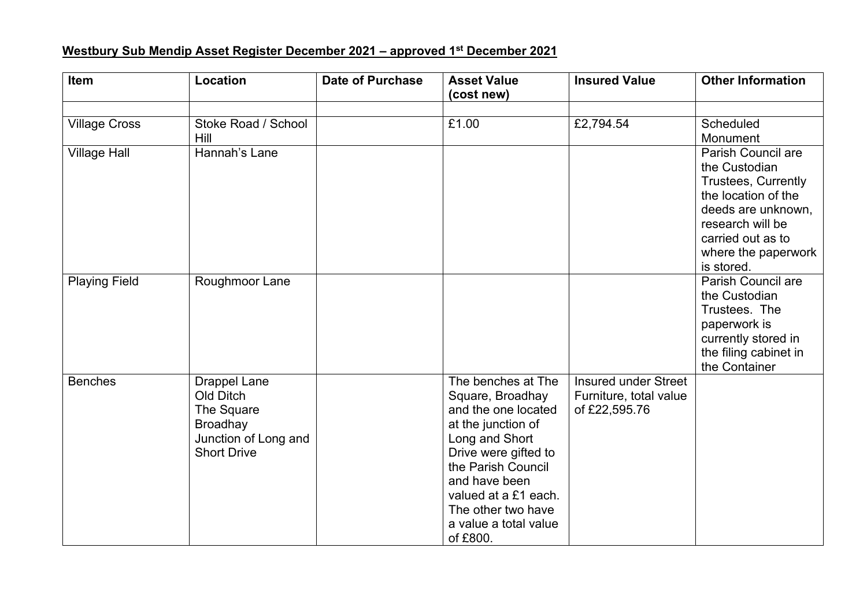## **Westbury Sub Mendip Asset Register December 2021 – approved 1 st December 2021**

| <b>Item</b>          | Location                                                                                                        | <b>Date of Purchase</b> | <b>Asset Value</b><br>(cost new)                                                                                                                                                                                                                        | <b>Insured Value</b>                                                   | <b>Other Information</b>                                                                                                                                                                            |
|----------------------|-----------------------------------------------------------------------------------------------------------------|-------------------------|---------------------------------------------------------------------------------------------------------------------------------------------------------------------------------------------------------------------------------------------------------|------------------------------------------------------------------------|-----------------------------------------------------------------------------------------------------------------------------------------------------------------------------------------------------|
| <b>Village Cross</b> | Stoke Road / School<br>Hill                                                                                     |                         | £1.00                                                                                                                                                                                                                                                   | £2,794.54                                                              | Scheduled<br>Monument                                                                                                                                                                               |
| <b>Village Hall</b>  | Hannah's Lane                                                                                                   |                         |                                                                                                                                                                                                                                                         |                                                                        | <b>Parish Council are</b><br>the Custodian<br><b>Trustees, Currently</b><br>the location of the<br>deeds are unknown,<br>research will be<br>carried out as to<br>where the paperwork<br>is stored. |
| <b>Playing Field</b> | Roughmoor Lane                                                                                                  |                         |                                                                                                                                                                                                                                                         |                                                                        | Parish Council are<br>the Custodian<br>Trustees. The<br>paperwork is<br>currently stored in<br>the filing cabinet in<br>the Container                                                               |
| <b>Benches</b>       | <b>Drappel Lane</b><br>Old Ditch<br>The Square<br><b>Broadhay</b><br>Junction of Long and<br><b>Short Drive</b> |                         | The benches at The<br>Square, Broadhay<br>and the one located<br>at the junction of<br>Long and Short<br>Drive were gifted to<br>the Parish Council<br>and have been<br>valued at a £1 each.<br>The other two have<br>a value a total value<br>of £800. | <b>Insured under Street</b><br>Furniture, total value<br>of £22,595.76 |                                                                                                                                                                                                     |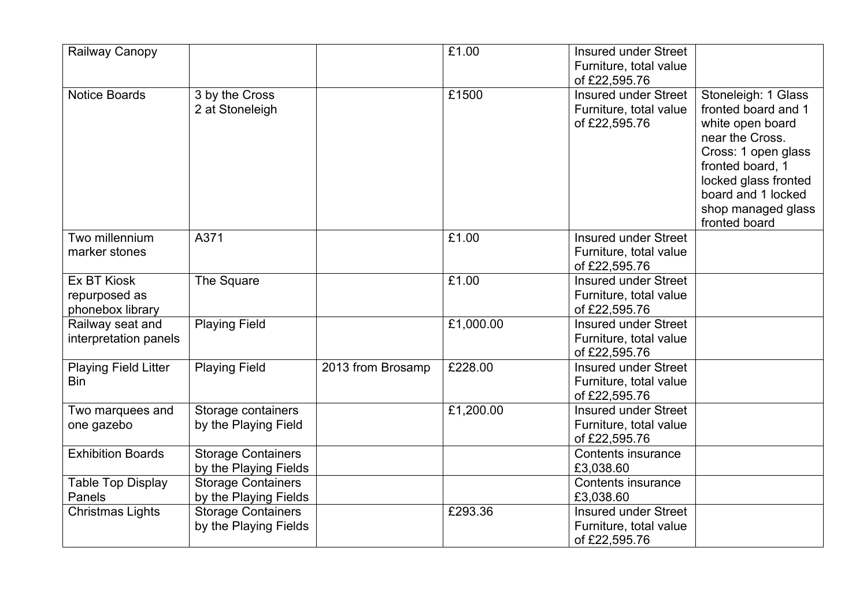| £1.00<br>Railway Canopy                                                             | <b>Insured under Street</b>                        |  |
|-------------------------------------------------------------------------------------|----------------------------------------------------|--|
|                                                                                     | Furniture, total value<br>of £22,595.76            |  |
| £1500<br><b>Notice Boards</b><br>3 by the Cross                                     | <b>Insured under Street</b><br>Stoneleigh: 1 Glass |  |
| 2 at Stoneleigh                                                                     | Furniture, total value<br>fronted board and 1      |  |
|                                                                                     | of £22,595.76<br>white open board                  |  |
|                                                                                     | near the Cross.                                    |  |
|                                                                                     | Cross: 1 open glass                                |  |
|                                                                                     | fronted board, 1                                   |  |
|                                                                                     | locked glass fronted                               |  |
|                                                                                     | board and 1 locked                                 |  |
|                                                                                     | shop managed glass                                 |  |
|                                                                                     | fronted board                                      |  |
| Two millennium<br>A371<br>£1.00                                                     | <b>Insured under Street</b>                        |  |
| marker stones                                                                       | Furniture, total value<br>of £22,595.76            |  |
| £1.00<br><b>Ex BT Kiosk</b><br>The Square                                           | <b>Insured under Street</b>                        |  |
| repurposed as                                                                       | Furniture, total value                             |  |
| phonebox library                                                                    | of £22,595.76                                      |  |
| <b>Playing Field</b><br>Railway seat and                                            | £1,000.00<br><b>Insured under Street</b>           |  |
| interpretation panels                                                               | Furniture, total value                             |  |
|                                                                                     | of £22,595.76                                      |  |
| £228.00<br><b>Playing Field Litter</b><br><b>Playing Field</b><br>2013 from Brosamp | <b>Insured under Street</b>                        |  |
| <b>Bin</b>                                                                          | Furniture, total value                             |  |
|                                                                                     | of £22,595.76                                      |  |
| Storage containers<br>Two marquees and                                              | £1,200.00<br><b>Insured under Street</b>           |  |
| by the Playing Field<br>one gazebo                                                  | Furniture, total value                             |  |
|                                                                                     | of £22,595.76                                      |  |
| <b>Exhibition Boards</b><br><b>Storage Containers</b>                               | <b>Contents insurance</b>                          |  |
| by the Playing Fields                                                               | £3,038.60                                          |  |
| Table Top Display<br><b>Storage Containers</b><br>Panels                            | <b>Contents insurance</b>                          |  |
| by the Playing Fields<br>£293.36                                                    | £3,038.60<br><b>Insured under Street</b>           |  |
| <b>Christmas Lights</b><br><b>Storage Containers</b><br>by the Playing Fields       | Furniture, total value                             |  |
|                                                                                     | of £22,595.76                                      |  |